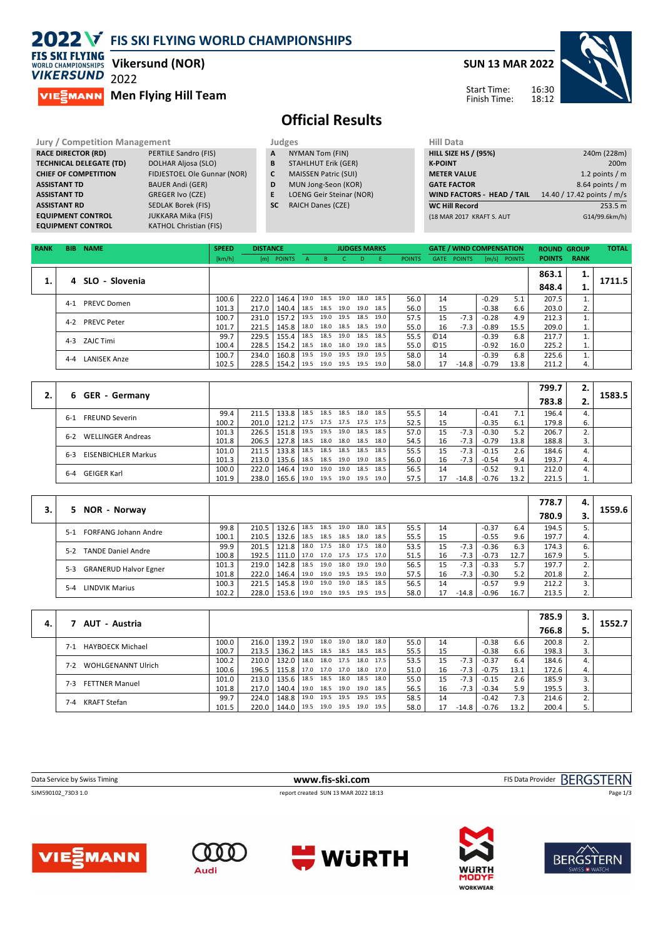|                                                                                | 2022 V FIS SKI FLYING WORLD CHAMPIONSHIPS |   |                             |                             |                            |
|--------------------------------------------------------------------------------|-------------------------------------------|---|-----------------------------|-----------------------------|----------------------------|
| <b>FIS SKI FLYING</b><br><b>WORLD CHAMPIONSHIPS</b><br><b><i>VIKERSUND</i></b> | <b>Vikersund (NOR)</b><br>2022            |   |                             | <b>SUN 13 MAR 2022</b>      |                            |
| <b>VIE EMANN</b>                                                               | <b>Men Flying Hill Team</b>               |   |                             | Start Time:<br>Finish Time: | 16:30<br>18:12             |
|                                                                                |                                           |   | <b>Official Results</b>     |                             |                            |
| <b>Jury / Competition Management</b>                                           |                                           |   | Judges                      | <b>Hill Data</b>            |                            |
| <b>RACE DIRECTOR (RD)</b>                                                      | PERTILE Sandro (FIS)                      | A | NYMAN Tom (FIN)             | <b>HILL SIZE HS / (95%)</b> | 240m (228m)                |
| <b>TECHNICAL DELEGATE (TD)</b>                                                 | DOLHAR Aljosa (SLO)                       | B | <b>STAHLHUT Erik (GER)</b>  | <b>K-POINT</b>              | 200 <sub>m</sub>           |
| <b>CHIEF OF COMPETITION</b>                                                    | FIDJESTOEL Ole Gunnar (NOR)               | C | <b>MAISSEN Patric (SUI)</b> | <b>METER VALUE</b>          | 1.2 points $/m$            |
| <b>ASSISTANT TD</b>                                                            | <b>BAUER Andi (GER)</b>                   | D | MUN Jong-Seon (KOR)         | <b>GATE FACTOR</b>          | $8.64$ points / m          |
| <b>ASSISTANT TD</b>                                                            | <b>GREGER Ivo (CZE)</b>                   | E | LOENG Geir Steinar (NOR)    | WIND FACTORS - HEAD / TAIL  | 14.40 / 17.42 points / m/s |

**SC** RAICH Danes (CZE)

| <b>RANK</b> | BIB.    | <b>NAME</b>         | <b>SPEED</b> | <b>DISTANCE</b> |              |      |      |                     | <b>JUDGES MARKS</b> |      |               |            | <b>GATE / WIND COMPENSATION</b> |         |                | <b>ROUND GROUP</b> |     | <b>TOTAL</b> |
|-------------|---------|---------------------|--------------|-----------------|--------------|------|------|---------------------|---------------------|------|---------------|------------|---------------------------------|---------|----------------|--------------------|-----|--------------|
|             |         |                     | [km/h]       |                 | [m] POINTS A |      |      | B C D               |                     | - F  | <b>POINTS</b> |            | GATE POINTS                     |         | $[m/s]$ POINTS | <b>POINTS RANK</b> |     |              |
|             |         |                     |              |                 |              |      |      |                     |                     |      |               |            |                                 |         |                | 863.1              | . . |              |
|             |         | 4 SLO - Slovenia    |              |                 |              |      |      |                     |                     |      |               |            |                                 |         |                | 848.4              |     | 1711.5       |
|             | $4 - 1$ | <b>PREVC Domen</b>  | 100.6        | 222.0           | 146.4        | 19.0 | 18.5 | 19.0 18.0           |                     | 18.5 | 56.0          | 14         |                                 | $-0.29$ | 5.1            | 207.5              |     |              |
|             |         |                     | 101.3        | 217.0           | 140.4 l      | 18.5 |      | 18.5 19.0 19.0      |                     | 18.5 | 56.0          | 15         |                                 | $-0.38$ | 6.6            | 203.0              | 2.  |              |
|             | $4 - 2$ | <b>PREVC Peter</b>  | 100.7        | 231.0           | 157.2        | 19.5 |      | 19.0 19.5 18.5 19.0 |                     |      | 57.5          | 15         | $-7.3$                          | $-0.28$ | 4.9            | 212.3              |     |              |
|             |         |                     | 101.7        | 221.5           | 145.8   18.0 |      |      | 18.0 18.5 18.5 19.0 |                     |      | 55.0          | 16         | $-7.3$                          | $-0.89$ | 15.5           | 209.0              |     |              |
|             |         | 4-3 ZAJC Timi       | 99.7         | 229.5           | 155.4        | 18.5 |      | 18.5 19.0 18.5 18.5 |                     |      | 55.5          | @14        |                                 | $-0.39$ | 6.8            | 217.7              |     |              |
|             |         |                     | 100.4        | 228.5           | 154.2        | 18.5 |      | 18.0 18.0 19.0      |                     | 18.5 | 55.0          | <b>©15</b> |                                 | $-0.92$ | 16.0           | 225.2              | ı.  |              |
|             | $4 - 4$ | <b>LANISEK Anze</b> | 100.7        | 234.0           | 160.8        | 19.5 |      | 19.0 19.5 19.0      |                     | 19.5 | 58.0          | 14         |                                 | $-0.39$ | 6.8            | 225.6              |     |              |
|             |         |                     | 102.5        | 228.5           | $154.2$ 19.5 |      |      | 19.0 19.5 19.5 19.0 |                     |      | 58.0          | 17         | -14.8                           | $-0.79$ | 13.8           | 211.2              | 4.  |              |

|                                       |       |       |               |      |      |                |      |      |      |    |         |         |      | 799.7 | 2. |        |
|---------------------------------------|-------|-------|---------------|------|------|----------------|------|------|------|----|---------|---------|------|-------|----|--------|
| <b>GER</b> - Germany<br>6.            |       |       |               |      |      |                |      |      |      |    |         |         |      | 783.8 | Ζ. | 1583.5 |
| <b>FREUND Severin</b><br>$6-1$        | 99.4  | 211.5 | 133.8         | 18.5 |      | 18.5 18.5 18.0 |      | 18.5 | 55.5 | 14 |         | $-0.41$ | 7.1  | 196.4 |    |        |
|                                       | 100.2 |       | 201.0   121.2 | 17.5 |      | 17.5 17.5 17.5 |      | 17.5 | 52.5 | 15 |         | $-0.35$ | 6.1  | 179.8 | 6. |        |
| <b>WELLINGER Andreas</b><br>$6 - 2$   | 101.3 | 226.5 | 151.8         | 19.5 |      | 19.5 19.0      | 18.5 | 18.5 | 57.0 | 15 | $-7.3$  | $-0.30$ | 5.2  | 206.7 | ۷. |        |
|                                       | 101.8 | 206.5 | 127.8         | 18.5 |      | 18.0 18.0 18.5 |      | 18.0 | 54.5 | 16 | -7.3    | $-0.79$ | 13.8 | 188.8 | 3. |        |
| <b>EISENBICHLER Markus</b><br>$6 - 3$ | 101.0 | 211.5 | 133.8         | 18.5 |      | 18.5 18.5 18.5 |      | 18.5 | 55.5 | 15 | $-7.3$  | $-0.15$ | 2.6  | 184.6 |    |        |
|                                       | 101.3 | 213.0 | 135.6         | 18.5 |      | 18.5 19.0 19.0 |      | 18.5 | 56.0 | 16 | $-7.3$  | $-0.54$ | 9.4  | 193.7 | 4. |        |
| <b>GEIGER Karl</b><br>$6 - 4$         | 100.0 | 222.0 | 146.4         | 19.0 | 19.0 | 19.0           | 18.5 | 18.5 | 56.5 | 14 |         | $-0.52$ | 9.1  | 212.0 |    |        |
|                                       | 101.9 | 238.0 | 165.6         | 19.0 |      | 19.5 19.0      | 19.5 | 19.0 | 57.5 | 17 | $-14.8$ | $-0.76$ | 13.2 | 221.5 | ⊥. |        |
|                                       |       |       |               |      |      |                |      |      |      |    |         |         |      |       |    |        |
|                                       |       |       |               |      |      |                |      |      |      |    |         |         |      | --- - |    |        |

|         |                              |       |       |              |      |                |                |      |      |    |         |         |      | 778.7 | 4. |        |
|---------|------------------------------|-------|-------|--------------|------|----------------|----------------|------|------|----|---------|---------|------|-------|----|--------|
| 5.      | NOR - Norway                 |       |       |              |      |                |                |      |      |    |         |         |      | 780.9 |    | 1559.6 |
| $5-1$   | <b>FORFANG Johann Andre</b>  | 99.8  | 210.5 | 132.6        | 18.5 | 18.5 19.0      | 18.0           | 18.5 | 55.5 | 14 |         | $-0.37$ | 6.4  | 194.5 |    |        |
|         |                              | 100.1 | 210.5 | 132.6        | 18.5 |                | 18.5 18.5 18.0 | 18.5 | 55.5 | 15 |         | $-0.55$ | 9.6  | 197.7 |    |        |
| $5-2$   | <b>TANDE Daniel Andre</b>    | 99.9  | 201.5 | 121.8        | 18.0 |                | 17.5 18.0 17.5 | 18.0 | 53.5 | 15 | $-7.3$  | $-0.36$ | 6.3  | 174.3 | 6. |        |
|         |                              | 100.8 | 192.5 | 111.0        | 17.0 | 17.0 17.5 17.5 |                | 17.0 | 51.5 | 16 | $-7.3$  | $-0.73$ | 12.7 | 167.9 |    |        |
| $5-3$   | <b>GRANERUD Halvor Egner</b> | 101.3 | 219.0 | 142.8   18.5 |      |                | 19.0 18.0 19.0 | 19.0 | 56.5 | 15 | $-7.3$  | $-0.33$ | 5.7  | 197.7 |    |        |
|         |                              | 101.8 | 222.0 | 146.4        | 19.0 | 19.0 19.5 19.5 |                | 19.0 | 57.5 | 16 | $-7.3$  | $-0.30$ | 5.2  | 201.8 | 2. |        |
| $5 - 4$ | LINDVIK Marius               | 100.3 | 221.5 | 145.8        | 19.0 | 19.0 19.0 18.5 |                | 18.5 | 56.5 | 14 |         | $-0.57$ | 9.9  | 212.2 |    |        |
|         |                              | 102.2 | 228.0 | 153.6        | 19.0 | 19.0 19.5      | 19.5           | 19.5 | 58.0 | 17 | $-14.8$ | $-0.96$ | 16.7 | 213.5 | 2. |        |

|    |                                    |       |         |              |      |                |      |           |      |      |    |         |         |      | 785.9 | з. |        |
|----|------------------------------------|-------|---------|--------------|------|----------------|------|-----------|------|------|----|---------|---------|------|-------|----|--------|
| 4. | AUT - Austria                      |       |         |              |      |                |      |           |      |      |    |         |         |      | 766.8 |    | 1552.7 |
|    | <b>HAYBOECK Michael</b><br>$7-1$   | 100.0 | 216.0   | 139.2        | 19.0 | 18.0           | 19.0 | 18.0      | 18.0 | 55.0 | 14 |         | $-0.38$ | 6.6  | 200.8 |    |        |
|    |                                    | 100.7 | 213.5   | 136.2        | 18.5 | 18.5 18.5 18.5 |      |           | 18.5 | 55.5 | 15 |         | $-0.38$ | 6.6  | 198.3 | 3. |        |
|    | <b>WOHLGENANNT Ulrich</b><br>$7-2$ | 100.2 | 210.0   | 132.0        |      | 18.0 18.0 17.5 |      | 18.0 17.5 |      | 53.5 | 15 | $-7.3$  | $-0.37$ | 6.4  | 184.6 |    |        |
|    |                                    | 100.6 | 196.5   | 115.8        |      | 17.0 17.0 17.0 |      | 18.0      | 17.0 | 51.0 | 16 | $-7.3$  | $-0.75$ | 13.1 | 172.6 | 4. |        |
|    | <b>FETTNER Manuel</b><br>$7-3$     | 101.0 | 213.0   | 135.6        | 18.5 | 18.5 18.0      |      | 18.5      | 18.0 | 55.0 | 15 | $-7.3$  | $-0.15$ | 2.6  | 185.9 |    |        |
|    |                                    | 101.8 | 217.0   | 140.4        |      | 19.0 18.5 19.0 |      | 19.0      | 18.5 | 56.5 | 16 | $-7.3$  | $-0.34$ | 5.9  | 195.5 | 3. |        |
|    | <b>KRAFT Stefan</b><br>7-4         | 99.7  | 224.0   | 148.8        | 19.0 | 19.5 19.5      |      | 19.5      | 19.5 | 58.5 | 14 |         | $-0.42$ |      | 214.6 |    |        |
|    |                                    | 101.5 | 220.0 l | 144.0   19.5 |      | 19.0 19.5 19.0 |      |           | 19.5 | 58.0 | 17 | $-14.8$ | $-0.76$ | 13.2 | 200.4 | ⊃. |        |

| Data Service by Swiss Timing | www.fis-ski.com                      | FIS Data Provider BERGSTERN |
|------------------------------|--------------------------------------|-----------------------------|
| SJM590102_73D3 1.0           | report created SUN 13 MAR 2022 18:13 | Page 1/3                    |
|                              |                                      |                             |
|                              |                                      |                             |



**ASSISTANT RD** SEDLAK Borek (FIS) **EQUIPMENT CONTROL** JUKKARA Mika (FIS) **EQUIPMENT CONTROL KATHOL Christian (FIS)** 







**WC Hill Record** 253.5 m<br>
(18 MAR 2017 KRAFT S. AUT G14/99.6km/h)

(18 MAR 2017 KRAFT S. AUT

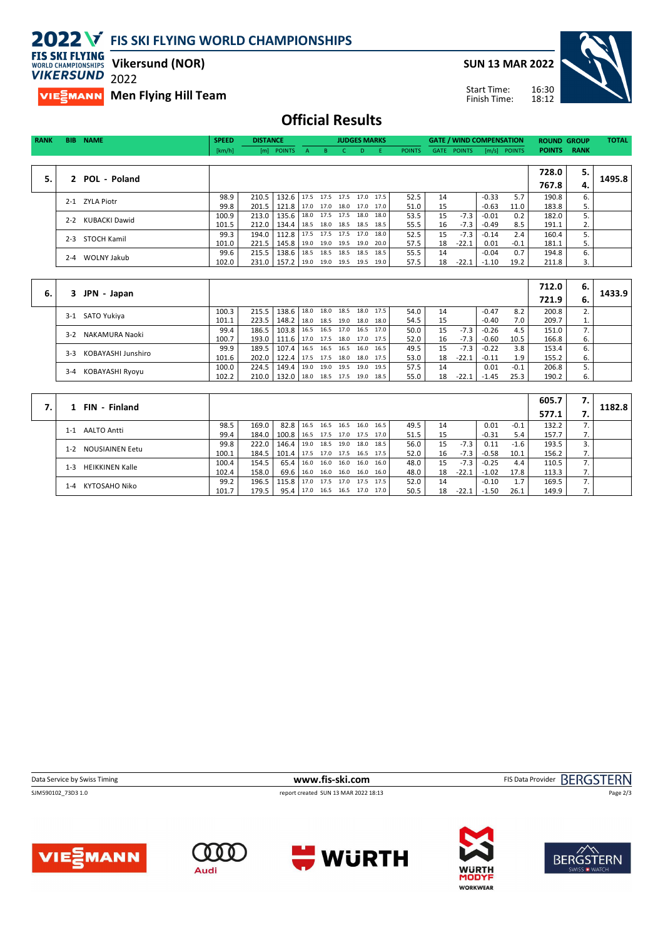**2022 V** FIS SKI FLYING WORLD CHAMPIONSHIPS **FIS SKI FLYING** 

**SUN 13 MAR 2022**

Start Time: Finish Time:



**Vikersund (NOR) WORLD CHAMPIONSHIPS VIKERSUND** 2022

**VIESMANN** Men Flying Hill Team

**Official Results**

| <b>RANK</b> | <b>BIB</b>   | <b>NAME</b>          | <b>SPEED</b> | <b>DISTANCE</b> |                                          |                           | <b>JUDGES MARKS</b> |       |                          |               |    | <b>GATE / WIND COMPENSATION</b> |         |                | <b>ROUND GROUP</b> |    | <b>TOTAL</b> |
|-------------|--------------|----------------------|--------------|-----------------|------------------------------------------|---------------------------|---------------------|-------|--------------------------|---------------|----|---------------------------------|---------|----------------|--------------------|----|--------------|
|             |              |                      | [km/h]       |                 | [m] POINTS A                             | <b>THE BLUE AND STATE</b> |                     | $C$ D | - F -                    | <b>POINTS</b> |    | GATE POINTS                     |         | $[m/s]$ POINTS | <b>POINTS RANK</b> |    |              |
|             |              |                      |              |                 |                                          |                           |                     |       |                          |               |    |                                 |         |                |                    |    |              |
|             |              |                      |              |                 |                                          |                           |                     |       |                          |               |    |                                 |         |                | 728.0              | 5. |              |
| 5.          | $\mathbf{z}$ | POL - Poland         |              |                 |                                          |                           |                     |       |                          |               |    |                                 |         |                | 767.8              | 4. | 1495.8       |
|             |              | 2-1 ZYLA Piotr       | 98.9         | 210.5           | 132.6 17.5 17.5 17.5 17.0 17.5           |                           |                     |       |                          | 52.5          | 14 |                                 | $-0.33$ | 5.7            | 190.8              | 6. |              |
|             |              |                      | 99.8         |                 | 201.5   121.8   17.0 17.0 18.0 17.0 17.0 |                           |                     |       |                          | 51.0          | 15 |                                 | $-0.63$ | 11.0           | 183.8              | 5. |              |
|             | $2 - 2$      | <b>KUBACKI Dawid</b> | 100.9        | 213.0           | 135.6                                    |                           |                     |       | 18.0 17.5 17.5 18.0 18.0 | 53.5          | 15 | $-7.3$                          | $-0.01$ | 0.2            | 182.0              |    |              |
|             |              |                      | 101.5        | 212.0           | 134.4 18.5 18.0 18.5 18.5 18.5           |                           |                     |       |                          | 55.5          | 16 | $-7.3$                          | -0.49   | 8.5            | 191.1              | 2. |              |
|             | $2 - 3$      | STOCH Kamil          | 99.3         | 194.0           | 112.8                                    |                           |                     |       | 17.5 17.5 17.5 17.0 18.0 | 52.5          | 15 | $-7.3$                          | $-0.14$ | 2.4            | 160.4              |    |              |
|             |              |                      | 101.0        | 221.5           | $145.8$   19.0 19.0 19.5 19.0 20.0       |                           |                     |       |                          | 57.5          | 18 | $-22.1$                         | 0.01    | $-0.1$         | 181.1              | 5. |              |
|             | $2 - 4$      | WOLNY Jakub          | 99.6         | 215.5           | 138.6                                    |                           |                     |       | 18.5 18.5 18.5 18.5 18.5 | 55.5          | 14 |                                 | $-0.04$ | 0.7            | 194.8              | 6. |              |
|             |              |                      | 102.0        |                 | 231.0   157.2   19.0 19.0 19.5 19.5 19.0 |                           |                     |       |                          | 57.5          | 18 | $-22.1$                         | $-1.10$ | 19.2           | 211.8              | 3. |              |
|             |              |                      |              |                 |                                          |                           |                     |       |                          |               |    |                                 |         |                |                    |    |              |

|    |                             |       |       |                                          |      |                     |      |      |      |      |    |         |         |        | 712.0 | 6. |        |
|----|-----------------------------|-------|-------|------------------------------------------|------|---------------------|------|------|------|------|----|---------|---------|--------|-------|----|--------|
| 6. | JPN - Japan<br>3            |       |       |                                          |      |                     |      |      |      |      |    |         |         |        | 721.9 | 6. | 1433.9 |
|    | SATO Yukiya<br>$3-1$        | 100.3 | 215.5 | $138.6$   18.0                           |      | 18.0 18.5 18.0 17.5 |      |      |      | 54.0 | 14 |         | $-0.47$ | 8.2    | 200.8 |    |        |
|    |                             | 101.1 | 223.5 | 148.2 18.0 18.5 19.0 18.0                |      |                     |      |      | 18.0 | 54.5 | 15 |         | $-0.40$ | 7.0    | 209.7 |    |        |
|    | NAKAMURA Naoki<br>$3-2$     | 99.4  | 186.5 | 103.8   16.5 16.5 17.0 16.5 17.0         |      |                     |      |      |      | 50.0 | 15 | $-7.3$  | $-0.26$ | 4.5    | 151.0 |    |        |
|    |                             | 100.7 |       | 193.0   111.6   17.0 17.5 18.0 17.0 17.5 |      |                     |      |      |      | 52.0 | 16 | $-7.3$  | $-0.60$ | 10.5   | 166.8 | 6. |        |
|    | KOBAYASHI Junshiro<br>$3-3$ | 99.9  | 189.5 | $107.4$   16.5                           |      | 16.5                | 16.5 | 16.0 | 16.5 | 49.5 | 15 | $-7.3$  | $-0.22$ | 3.8    | 153.4 |    |        |
|    |                             | 101.6 | 202.0 | 122.4   17.5 17.5 18.0 18.0 17.5         |      |                     |      |      |      | 53.0 | 18 | $-22.1$ | $-0.11$ | 1.9    | 155.2 | 6. |        |
|    |                             | 100.0 | 224.5 | 149.4                                    | 19.0 | 19.0 19.5           |      | 19.0 | 19.5 | 57.5 | 14 |         | 0.01    | $-0.1$ | 206.8 |    |        |
|    | KOBAYASHI Ryoyu<br>$3 - 4$  | 102.2 |       | 210.0   132.0   18.0 18.5 17.5 19.0 18.5 |      |                     |      |      |      | 55.0 | 18 | $-22.1$ | $-1.45$ | 25.3   | 190.2 | 6. |        |

| FIN - Finland                     |       |       |                                  |      |                     |      |                |      |      |    |         |         |        | 605.7 |                |        |
|-----------------------------------|-------|-------|----------------------------------|------|---------------------|------|----------------|------|------|----|---------|---------|--------|-------|----------------|--------|
|                                   |       |       |                                  |      |                     |      |                |      |      |    |         |         |        | 577.1 |                | 1182.8 |
| AALTO Antti<br>$1 - 1$            | 98.5  | 169.0 | $82.8$   16.5                    |      | 16.5                |      | 16.5 16.0      | 16.5 | 49.5 | 14 |         | 0.01    | $-0.1$ | 132.2 |                |        |
|                                   | 99.4  | 184.0 | 100.8   16.5 17.5 17.0 17.5 17.0 |      |                     |      |                |      | 51.5 | 15 |         | $-0.31$ | 5.4    | 157.7 | $\prime$ .     |        |
| <b>NOUSIAINEN Eetu</b><br>$1 - 2$ | 99.8  | 222.0 | 146.4                            | 19.0 | 18.5                | 19.0 | 18.0           | 18.5 | 56.0 | 15 | $-7.3$  | 0.11    | $-1.6$ | 193.5 |                |        |
|                                   | 100.1 | 184.5 | 101.4   17.5                     |      | 17.0 17.5 16.5 17.5 |      |                |      | 52.0 | 16 | $-7.3$  | $-0.58$ | 10.1   | 156.2 |                |        |
| <b>HEIKKINEN Kalle</b><br>$1 - 3$ | 100.4 | 154.5 | 65.4                             | 16.0 | 16.0                | 16.0 | 16.0           | 16.0 | 48.0 | 15 | $-7.3$  | $-0.25$ | 4.4    | 110.5 |                |        |
|                                   | 102.4 | 158.0 | 69.6 16.0                        |      | 16.0 16.0 16.0 16.0 |      |                |      | 48.0 | 18 | $-22.1$ | $-1.02$ | 17.8   | 113.3 | $\mathbf{I}$ . |        |
| KYTOSAHO Niko<br>1-4              | 99.2  | 196.5 | 115.8                            | 17.0 | 17.5                |      | 17.0 17.5 17.5 |      | 52.0 | 14 |         | $-0.10$ | 1.7    | 169.5 |                |        |
|                                   | 101.7 | 179.5 | 95.4                             | 17.0 | 16.5 16.5 17.0 17.0 |      |                |      | 50.5 | 18 | $-22.1$ | $-1.50$ | 26.1   | 149.9 |                |        |

SJM590102\_73D3 1.0 report created SUN 13 MAR 2022 18:13



Page 2/3